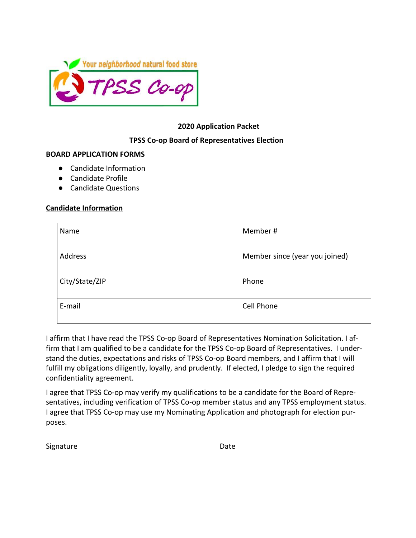

# **2020 Application Packet**

### **TPSS Co-op Board of Representatives Election**

#### **BOARD APPLICATION FORMS**

- Candidate Information
- Candidate Profile
- Candidate Questions

#### **Candidate Information**

| Name           | Member#                        |
|----------------|--------------------------------|
| Address        | Member since (year you joined) |
| City/State/ZIP | Phone                          |
| E-mail         | Cell Phone                     |

I affirm that I have read the TPSS Co-op Board of Representatives Nomination Solicitation. I affirm that I am qualified to be a candidate for the TPSS Co-op Board of Representatives. I understand the duties, expectations and risks of TPSS Co-op Board members, and I affirm that I will fulfill my obligations diligently, loyally, and prudently. If elected, I pledge to sign the required confidentiality agreement.

I agree that TPSS Co-op may verify my qualifications to be a candidate for the Board of Representatives, including verification of TPSS Co-op member status and any TPSS employment status. I agree that TPSS Co-op may use my Nominating Application and photograph for election purposes.

Signature Date Date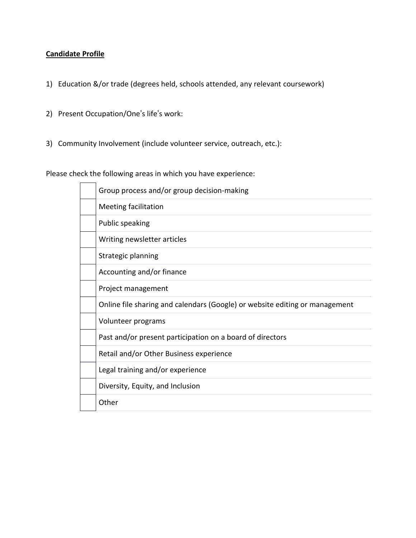# **Candidate Profile**

- 1) Education &/or trade (degrees held, schools attended, any relevant coursework)
- 2) Present Occupation/One's life's work:
- 3) Community Involvement (include volunteer service, outreach, etc.):

Please check the following areas in which you have experience:

| Group process and/or group decision-making                                  |
|-----------------------------------------------------------------------------|
| <b>Meeting facilitation</b>                                                 |
| <b>Public speaking</b>                                                      |
| Writing newsletter articles                                                 |
| Strategic planning                                                          |
| Accounting and/or finance                                                   |
| Project management                                                          |
| Online file sharing and calendars (Google) or website editing or management |
| Volunteer programs                                                          |
| Past and/or present participation on a board of directors                   |
| Retail and/or Other Business experience                                     |
| Legal training and/or experience                                            |
| Diversity, Equity, and Inclusion                                            |
| Other                                                                       |